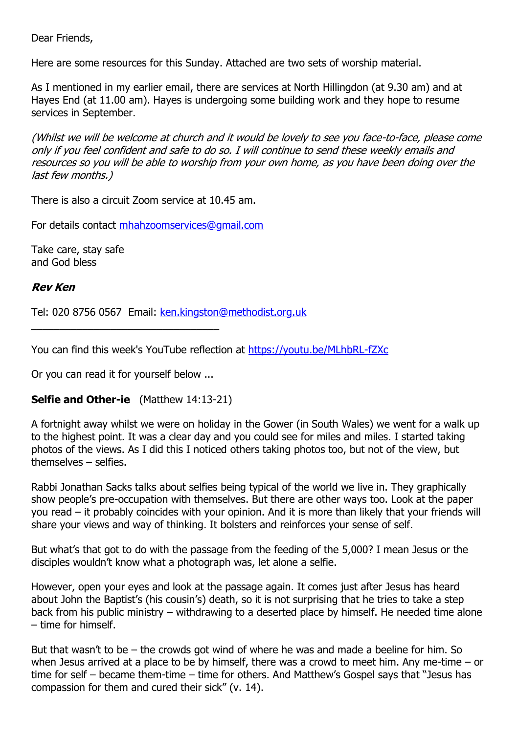Dear Friends,

Here are some resources for this Sunday. Attached are two sets of worship material.

As I mentioned in my earlier email, there are services at North Hillingdon (at 9.30 am) and at Hayes End (at 11.00 am). Hayes is undergoing some building work and they hope to resume services in September.

(Whilst we will be welcome at church and it would be lovely to see you face-to-face, please come only if you feel confident and safe to do so. I will continue to send these weekly emails and resources so you will be able to worship from your own home, as you have been doing over the last few months.)

There is also a circuit Zoom service at 10.45 am.

For details contact [mhahzoomservices@gmail.com](mailto:mhahzoomservices@gmail.com)

Take care, stay safe and God bless

## **Rev Ken**

Tel: 020 8756 0567 Email: [ken.kingston@methodist.org.uk](mailto:ken.kingston@methodist.org.uk)

You can find this week's YouTube reflection at <https://youtu.be/MLhbRL-fZXc>

Or you can read it for yourself below ...

## **Selfie and Other-ie** (Matthew 14:13-21)

A fortnight away whilst we were on holiday in the Gower (in South Wales) we went for a walk up to the highest point. It was a clear day and you could see for miles and miles. I started taking photos of the views. As I did this I noticed others taking photos too, but not of the view, but themselves – selfies.

Rabbi Jonathan Sacks talks about selfies being typical of the world we live in. They graphically show people's pre-occupation with themselves. But there are other ways too. Look at the paper you read – it probably coincides with your opinion. And it is more than likely that your friends will share your views and way of thinking. It bolsters and reinforces your sense of self.

But what's that got to do with the passage from the feeding of the 5,000? I mean Jesus or the disciples wouldn't know what a photograph was, let alone a selfie.

However, open your eyes and look at the passage again. It comes just after Jesus has heard about John the Baptist's (his cousin's) death, so it is not surprising that he tries to take a step back from his public ministry – withdrawing to a deserted place by himself. He needed time alone – time for himself.

But that wasn't to be – the crowds got wind of where he was and made a beeline for him. So when Jesus arrived at a place to be by himself, there was a crowd to meet him. Any me-time – or time for self – became them-time – time for others. And Matthew's Gospel says that "Jesus has compassion for them and cured their sick" (v. 14).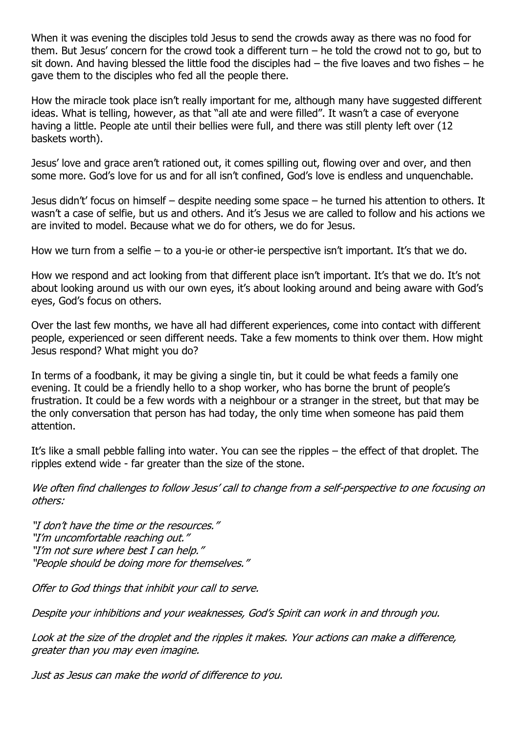When it was evening the disciples told Jesus to send the crowds away as there was no food for them. But Jesus' concern for the crowd took a different turn – he told the crowd not to go, but to sit down. And having blessed the little food the disciples had – the five loaves and two fishes – he gave them to the disciples who fed all the people there.

How the miracle took place isn't really important for me, although many have suggested different ideas. What is telling, however, as that "all ate and were filled". It wasn't a case of everyone having a little. People ate until their bellies were full, and there was still plenty left over (12 baskets worth).

Jesus' love and grace aren't rationed out, it comes spilling out, flowing over and over, and then some more. God's love for us and for all isn't confined, God's love is endless and unquenchable.

Jesus didn't' focus on himself – despite needing some space – he turned his attention to others. It wasn't a case of selfie, but us and others. And it's Jesus we are called to follow and his actions we are invited to model. Because what we do for others, we do for Jesus.

How we turn from a selfie – to a you-ie or other-ie perspective isn't important. It's that we do.

How we respond and act looking from that different place isn't important. It's that we do. It's not about looking around us with our own eyes, it's about looking around and being aware with God's eyes, God's focus on others.

Over the last few months, we have all had different experiences, come into contact with different people, experienced or seen different needs. Take a few moments to think over them. How might Jesus respond? What might you do?

In terms of a foodbank, it may be giving a single tin, but it could be what feeds a family one evening. It could be a friendly hello to a shop worker, who has borne the brunt of people's frustration. It could be a few words with a neighbour or a stranger in the street, but that may be the only conversation that person has had today, the only time when someone has paid them attention.

It's like a small pebble falling into water. You can see the ripples – the effect of that droplet. The ripples extend wide - far greater than the size of the stone.

We often find challenges to follow Jesus' call to change from a self-perspective to one focusing on others:

"I don't have the time or the resources." "I'm uncomfortable reaching out." "I'm not sure where best I can help." "People should be doing more for themselves."

Offer to God things that inhibit your call to serve.

Despite your inhibitions and your weaknesses, God's Spirit can work in and through you.

Look at the size of the droplet and the ripples it makes. Your actions can make a difference, greater than you may even imagine.

Just as Jesus can make the world of difference to you.